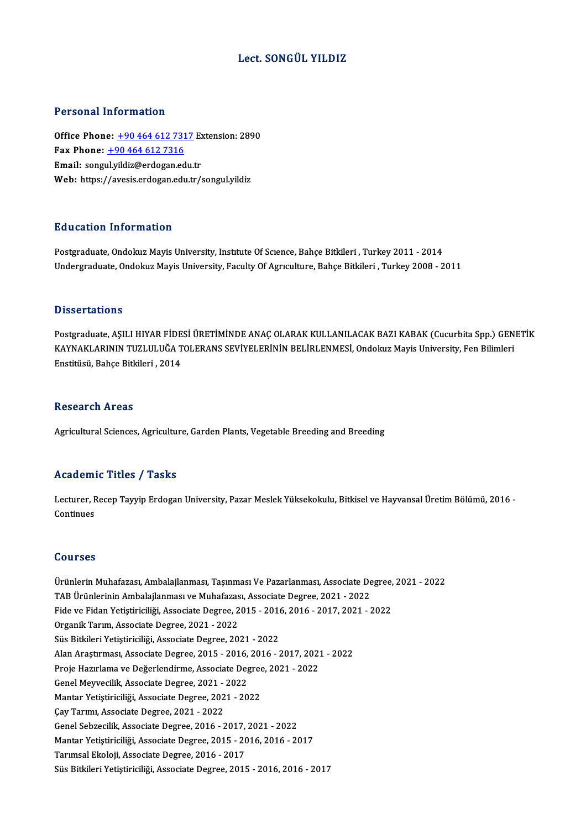## Lect. SONGÜL YILDIZ

## Personal Information

Personal Information<br>Office Phone: <u>+90 464 612 7317</u> Extension: 2890<br>Fax Phone: 190 464 612 7316 Fax Phone:  $\pm 904646127316$ <br>Email: songul.yildiz@erdogan.edu.tr Office Phone: <u>+90 464 612 7317</u> Ex<br>Fax Phone: <u>+90 464 612 7316</u><br>Email: song[ul.yildiz@erdogan.e](tel:+90 464 612 7316)[du.](tel:+90 464 612 7317)tr<br>Web: https://avesis.ordogan.edu.tr Web: https://avesis.erdogan.edu.tr/songul.yildiz

## Education Information

Postgraduate, Ondokuz Mayis University, Institute Of Science, Bahçe Bitkileri , Turkey 2011 - 2014 Undergraduate, Ondokuz Mayis University, Faculty Of Agrıculture, Bahçe Bitkileri , Turkey 2008 - 2011

## **Dissertations**

Postgraduate, AŞILI HIYAR FİDESİ ÜRETİMİNDE ANAÇ OLARAK KULLANILACAK BAZI KABAK (Cucurbita Spp.) GENETİK B ISSOT CATIONS<br>Postgraduate, AŞILI HIYAR FİDESİ ÜRETİMİNDE ANAÇ OLARAK KULLANILACAK BAZI KABAK (Cucurbita Spp.) GEN<br>KAYNAKLARININ TUZLULUĞA TOLERANS SEVİYELERİNİN BELİRLENMESİ, Ondokuz Mayis University, Fen Bilimleri Postgraduate, AŞILI HIYAR FİDE<br>KAYNAKLARININ TUZLULUĞA T<br>Enstitüsü, Bahçe Bitkileri , 2014 Enstitüsü, Bahçe Bitkileri , 2014<br>Research Areas

Agricultural Sciences, Agriculture, Garden Plants, Vegetable Breeding and Breeding

## Academic Titles / Tasks

**Academic Titles / Tasks**<br>Lecturer, Recep Tayyip Erdogan University, Pazar Meslek Yüksekokulu, Bitkisel ve Hayvansal Üretim Bölümü, 2016 -<br>Continues Lecturer, F<br>Lecturer, F<br>Continues Continues<br>Courses

Courses<br>Ürünlerin Muhafazası, Ambalajlanması, Taşınması Ve Pazarlanması, Associate Degree, 2021 - 2022<br>TAR Ürünlerinin Ambalajlanması ve Muhafazası, Associate Degree, 2021 - 2022 TOUTSSS<br>Ürünlerin Muhafazası, Ambalajlanması, Taşınması Ve Pazarlanması, Associate De<br>TAB Ürünlerinin Ambalajlanması ve Muhafazası, Associate Degree, 2021 - 2022<br>Fide ve Fiden Vetistirisiliği, Associate Degree, 2015 - 2016 Ürünlerin Muhafazası, Ambalajlanması, Taşınması Ve Pazarlanması, Associate Degree,<br>TAB Ürünlerinin Ambalajlanması ve Muhafazası, Associate Degree, 2021 - 2022<br>Fide ve Fidan Yetiştiriciliği, Associate Degree, 2015 - 2016, 2 TAB Ürünlerinin Ambalajlanması ve Muhafazası, Associate Degree, 2021 - 2022<br>Fide ve Fidan Yetiştiriciliği, Associate Degree, 2015 - 2016, 2016 - 2017, 2021 - 2022<br>Organik Tarım, Associate Degree, 2021 - 2022 Süs Bitkileri Yetiştiriciliği, Associate Degree, 2021 - 2022 Organik Tarım, Associate Degree, 2021 - 2022<br>Süs Bitkileri Yetiştiriciliği, Associate Degree, 2021 - 2022<br>Alan Araştırması, Associate Degree, 2015 - 2016, 2016 - 2017, 2021 - 2022<br>Preja Hazırlama ve Değerlendirma, Associat Süs Bitkileri Yetiştiriciliği, Associate Degree, 2021 - 2022<br>Alan Araştırması, Associate Degree, 2015 - 2016, 2016 - 2017, 202:<br>Proje Hazırlama ve Değerlendirme, Associate Degree, 2021 - 2022<br>Canel Mauresilik, Associate De Alan Araştırması, Associate Degree, 2015 - 2016,<br>Proje Hazırlama ve Değerlendirme, Associate Deg<br>Genel Meyvecilik, Associate Degree, 2021 - 2022<br>Mantar Vetistirisiliği, Associate Degree, 2021 - 20 Proje Hazırlama ve Değerlendirme, Associate Degree, 2021 - 2022<br>Genel Meyvecilik, Associate Degree, 2021 - 2022<br>Mantar Yetiştiriciliği, Associate Degree, 2021 - 2022<br>Çay Tarımı, Associate Degree, 2021 - 2022 Genel Meyvecilik, Associate Degree, 2021 -<br>Mantar Yetiştiriciliği, Associate Degree, 202<br>Çay Tarımı, Associate Degree, 2021 - 2022<br>Canal Sabrasilik, Associate Degree, 2016 - 2 Mantar Yetiştiriciliği, Associate Degree, 2021 - 2022<br>Çay Tarımı, Associate Degree, 2021 - 2022<br>Genel Sebzecilik, Associate Degree, 2016 - 2017, 2021 - 2022<br>Mantar Yetistirisiliği, Associate Degree, 2015 - 2016 - 2016 Çay Tarımı, Associate Degree, 2021 - 2022<br>Genel Sebzecilik, Associate Degree, 2016 - 2017, 2021 - 2022<br>Mantar Yetiştiriciliği, Associate Degree, 2015 - 2016, 2016 - 2017<br>Tarımsal Ekoloji, Associate Degree, 2015 - 2017 Genel Sebzecilik, Associate Degree, 2016 - 2017,<br>Mantar Yetiştiriciliği, Associate Degree, 2015 - 20<br>Tarımsal Ekoloji, Associate Degree, 2016 - 2017<br>Süe Bitkileri Vetistiriciliği, Associate Degree, 2017 Mantar Yetiştiriciliği, Associate Degree, 2015 - 2016, 2016 - 2017<br>Tarımsal Ekoloji, Associate Degree, 2016 - 2017<br>Süs Bitkileri Yetiştiriciliği, Associate Degree, 2015 - 2016, 2016 - 2017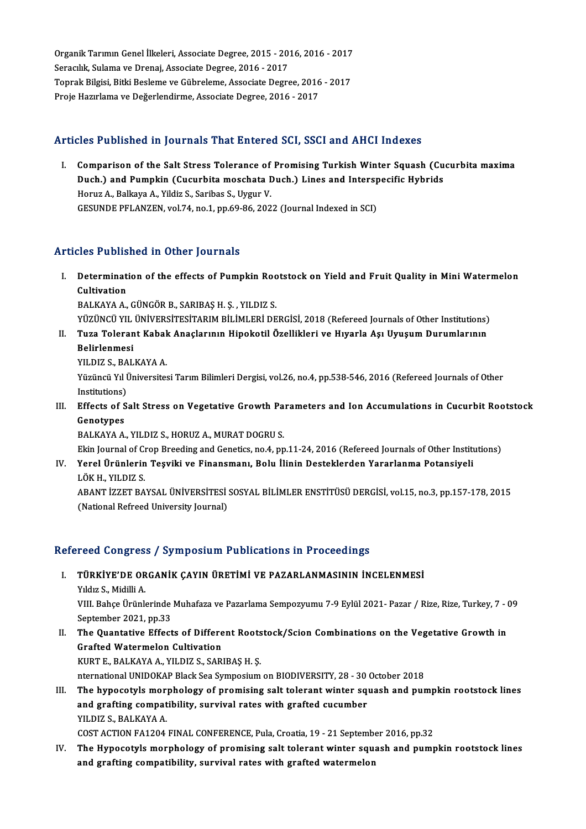Organik Tarımın Genel İlkeleri, Associate Degree, 2015 - 2016, 2016 - 2017<br>Senerlik Sulama ve Dransi, Associate Degree, 2015 - 2016, 2016 - 2017 Organik Tarımın Genel İlkeleri, Associate Degree, 2015 - 201<br>Seracılık, Sulama ve Drenaj, Associate Degree, 2016 - 2017<br>Tenrak Bilgisi, Bitki Beslame ve Gühreleme, Assosiate Degre Organik Tarımın Genel İlkeleri, Associate Degree, 2015 - 2016, 2016 - 2017<br>Seracılık, Sulama ve Drenaj, Associate Degree, 2016 - 2017<br>Toprak Bilgisi, Bitki Besleme ve Gübreleme, Associate Degree, 2016 - 2017<br>Preja Harurlam Seracılık, Sulama ve Drenaj, Associate Degree, 2016 - 2017<br>Toprak Bilgisi, Bitki Besleme ve Gübreleme, Associate Degree, 2016<br>Proje Hazırlama ve Değerlendirme, Associate Degree, 2016 - 2017

## Proje Hazırlama ve Değerlendirme, Associate Degree, 2016 - 2017<br>Articles Published in Journals That Entered SCI, SSCI and AHCI Indexes

rticles Published in Journals That Entered SCI, SSCI and AHCI Indexes<br>I. Comparison of the Salt Stress Tolerance of Promising Turkish Winter Squash (Cucurbita maxima<br>Duch) and Bumpkin (Cucurbita masshata Duch) Lines and In Comparison of the Salt Stress Tolerance of Promising Turkish Winter Squash (Cu<br>Duch.) and Pumpkin (Cucurbita moschata Duch.) Lines and Interspecific Hybrids<br>Homiz A. Balliaus A. Vildir S. Saribas S. Hygur V. Comparison of the Salt Stress Tolerance of<br>Duch.) and Pumpkin (Cucurbita moschata I<br>Horuz A., Balkaya A., Yildiz S., Saribas S., Uygur V.<br>CESUNDE PELANZEN, Vol 74 no 1 np 60 86-202 Duch.) and Pumpkin (Cucurbita moschata Duch.) Lines and Interspecific Hybrids<br>Horuz A., Balkaya A., Yildiz S., Saribas S., Uygur V.<br>GESUNDE PFLANZEN, vol.74, no.1, pp.69-86, 2022 (Journal Indexed in SCI)

## Articles Published in Other Journals

rticles Published in Other Journals<br>I. Determination of the effects of Pumpkin Rootstock on Yield and Fruit Quality in Mini Watermelon<br>Cultivation Cultivation<br>Cultivation<br>PALEAVA A Cultivation<br>BALKAYA A., GÜNGÖR B., SARIBAŞ H. Ş. , YILDIZ S.<br>YÜZÜNCÜ YIL ÜNİVERSİTESİTARIM BİLİMLERİ DERGİSİ, 2018 (Refereed Journals of Other Institutions)<br>Tuga Telerent Kabak Anaslarının Hineketil Özellikleri ve Huyarla

BALKAYAA.,GÜNGÖRB.,SARIBAŞH.Ş. ,YILDIZ S.

- BALKAYA A., GÜNGÖR B., SARIBAŞ H. Ş. , YILDIZ S.<br>YÜZÜNCÜ YIL ÜNIVERSİTESİTARIM BİLİMLERİ DERGİSİ, 2018 (Refereed Journals of Other Institutions)<br>II. Tuza Tolerant Kabak Anaçlarının Hipokotil Özellikleri ve Hıyarla Aşı YÜZÜNCÜ YIL<br><mark>Tuza Toleran</mark><br>Belirlenmesi<br><sup>VILDIZ S. PAL</sup> II. Tuza Tolerant Kabak Anaçlarının Hipokotil Özellikleri ve Hıyarla Aşı Uyuşum Durumlarının<br>Belirlenmesi<br>YILDIZ S. BALKAYA A.
	-

Belirlenmesi<br>YILDIZ S., BALKAYA A.<br>Yüzüncü Yıl Üniversitesi Tarım Bilimleri Dergisi, vol.26, no.4, pp.538-546, 2016 (Refereed Journals of Other<br>Institutions) YILDIZ S., BA<br>Yüzüncü Yıl İ<br>Institutions)<br>Effecte of S. Institutions)<br>II. Effects of Salt Stress on Vegetative Growth Parameters and Ion Accumulations in Cucurbit Rootstock<br>Construes

Institutions)<br>Effects of S<br>Genotypes<br>PALKAYAA Genotypes<br>BALKAYA A., YILDIZ S., HORUZ A., MURAT DOGRU S. Genotypes<br>BALKAYA A., YILDIZ S., HORUZ A., MURAT DOGRU S.<br>Ekin Journal of Crop Breeding and Genetics, no.4, pp.11-24, 2016 (Refereed Journals of Other Institutions)<br>Yorel Ürünlerin Tesviki ve Einenemany Belu İlinin Destekl

BALKAYA A., YILDIZ S., HORUZ A., MURAT DOGRU S.<br>Ekin Journal of Crop Breeding and Genetics, no.4, pp.11-24, 2016 (Refereed Journals of Other Institution<br>IV. Yerel Ürünlerin Teşviki ve Finansmanı, Bolu İlinin Desteklerden Y Ekin Journal of C<mark>i</mark><br>Yerel Ürünlerin<br>LÖK H., YILDIZ S.<br>ARANT İZZET RA IV. Yerel Ürünlerin Teşviki ve Finansmanı, Bolu İlinin Desteklerden Yararlanma Potansiyeli<br>LÖK H., YILDIZ S.<br>ABANT İZZET BAYSAL ÜNİVERSİTESİ SOSYAL BİLİMLER ENSTİTÜSÜ DERGİSİ, vol.15, no.3, pp.157-178, 2015

(National Refreed University Journal)

# (National Kerreed University Journal)<br>Refereed Congress / Symposium Publications in Proceedings

efereed Congress / Symposium Publications in Proceedings<br>I. TÜRKİYE'DE ORGANİK ÇAYIN ÜRETİMİ VE PAZARLANMASININ İNCELENMESİ<br>Xıldız S. Midili A I. TÜRKİYE'DE ORGANİK ÇAYIN ÜRETİMİ VE PAZARLANMASININ İNCELENMESİ<br>Yıldız S., Midilli A.

VIII. Bahçe Ürünlerinde Muhafaza ve Pazarlama Sempozyumu 7-9 Eylül 2021- Pazar / Rize, Rize, Turkey, 7 - 09 September 2021, pp.33 VIII. Bahçe Ürünlerinde Muhafaza ve Pazarlama Sempozyumu 7-9 Eylül 2021- Pazar / Rize, Rize, Turkey, 7 - (September 2021, pp.33<br>II. The Quantative Effects of Different Rootstock/Scion Combinations on the Vegetative Growth

September 2021, pp.33<br>The Quantative Effects of Differe<br>Grafted Watermelon Cultivation<br>KURTE RALKAYA A, VU DIZS, SAR Grafted Watermelon Cultivation<br>KURT E., BALKAYA A., YILDIZ S., SARIBAŞ H. Ş.

nternational UNIDOKAP Black Sea Symposium on BIODIVERSITY, 28 - 30 October 2018

III. The hypocotyls morphology of promising salt tolerant winter squash and pumpkin rootstock lines nternational UNIDOKAP Black Sea Symposium on BIODIVERSITY, 28 - 30<br>The hypocotyls morphology of promising salt tolerant winter sq<br>and grafting compatibility, survival rates with grafted cucumber<br>VU DIZ S. BALKAYA A The hypocotyls mor<br>and grafting compat<br>YILDIZ S., BALKAYA A.<br>COST ACTION FA1204 YILDIZ S., BALKAYA A.<br>COST ACTION FA1204 FINAL CONFERENCE, Pula, Croatia, 19 - 21 September 2016, pp.32

YILDIZ S., BALKAYA A.<br>COST ACTION FA1204 FINAL CONFERENCE, Pula, Croatia, 19 - 21 September 2016, pp.32<br>IV. The Hypocotyls morphology of promising salt tolerant winter squash and pumpkin rootstock lines<br>and grafting compat COST ACTION FA1204 FINAL CONFERENCE, Pula, Croatia, 19 - 21 September<br>The Hypocotyls morphology of promising salt tolerant winter squ<br>and grafting compatibility, survival rates with grafted watermelon